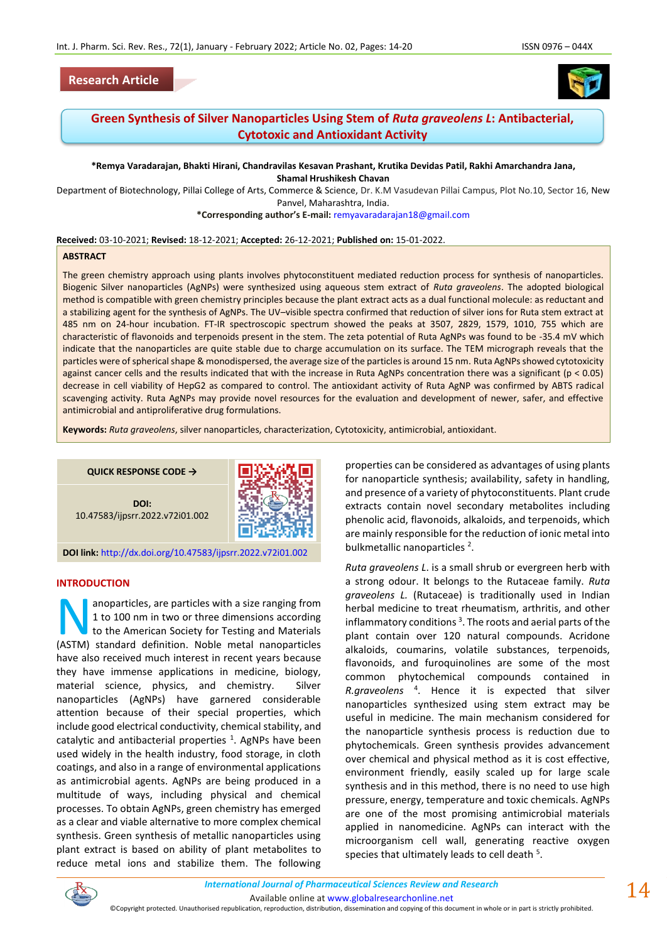



# **Green Synthesis of Silver Nanoparticles Using Stem of** *Ruta graveolens L***: Antibacterial, Cytotoxic and Antioxidant Activity**

**\*Remya Varadarajan, Bhakti Hirani, Chandravilas Kesavan Prashant, Krutika Devidas Patil, Rakhi Amarchandra Jana, Shamal Hrushikesh Chavan**

Department of Biotechnology, Pillai College of Arts, Commerce & Science, Dr. K.M Vasudevan Pillai Campus, Plot No.10, Sector 16, New Panvel, Maharashtra, India.

**\*Corresponding author's E-mail:** [remyavaradarajan18@gmail.com](mailto:remyavaradarajan18@gmail.com)

#### **Received:** 03-10-2021; **Revised:** 18-12-2021; **Accepted:** 26-12-2021; **Published on:** 15-01-2022.

#### **ABSTRACT**

The green chemistry approach using plants involves phytoconstituent mediated reduction process for synthesis of nanoparticles. Biogenic Silver nanoparticles (AgNPs) were synthesized using aqueous stem extract of *Ruta graveolens*. The adopted biological method is compatible with green chemistry principles because the plant extract acts as a dual functional molecule: as reductant and a stabilizing agent for the synthesis of AgNPs. The UV–visible spectra confirmed that reduction of silver ions for Ruta stem extract at 485 nm on 24-hour incubation. FT-IR spectroscopic spectrum showed the peaks at 3507, 2829, 1579, 1010, 755 which are characteristic of flavonoids and terpenoids present in the stem. The zeta potential of Ruta AgNPs was found to be -35.4 mV which indicate that the nanoparticles are quite stable due to charge accumulation on its surface. The TEM micrograph reveals that the particles were of spherical shape & monodispersed, the average size of the particles is around 15 nm. Ruta AgNPs showed cytotoxicity against cancer cells and the results indicated that with the increase in Ruta AgNPs concentration there was a significant (p < 0.05) decrease in cell viability of HepG2 as compared to control. The antioxidant activity of Ruta AgNP was confirmed by ABTS radical scavenging activity. Ruta AgNPs may provide novel resources for the evaluation and development of newer, safer, and effective antimicrobial and antiproliferative drug formulations.

**Keywords:** *Ruta graveolens*, silver nanoparticles, characterization, Cytotoxicity, antimicrobial, antioxidant.

**QUICK RESPONSE CODE →**





**DOI link:** <http://dx.doi.org/10.47583/ijpsrr.2022.v72i01.002>

#### **INTRODUCTION**

anoparticles, are particles with a size ranging from 1 to 100 nm in two or three dimensions according to the American Society for Testing and Materials anoparticles, are particles with a size ranging from<br>1 to 100 nm in two or three dimensions according<br>to the American Society for Testing and Materials<br>(ASTM) standard definition. Noble metal nanoparticles have also received much interest in recent years because they have immense applications in medicine, biology, material science, physics, and chemistry. Silver nanoparticles (AgNPs) have garnered considerable attention because of their special properties, which include good electrical conductivity, chemical stability, and catalytic and antibacterial properties  $^1$ . AgNPs have been used widely in the health industry, food storage, in cloth coatings, and also in a range of environmental applications as antimicrobial agents. AgNPs are being produced in a multitude of ways, including physical and chemical processes. To obtain AgNPs, green chemistry has emerged as a clear and viable alternative to more complex chemical synthesis. Green synthesis of metallic nanoparticles using plant extract is based on ability of plant metabolites to reduce metal ions and stabilize them. The following

properties can be considered as advantages of using plants for nanoparticle synthesis; availability, safety in handling, and presence of a variety of phytoconstituents. Plant crude extracts contain novel secondary metabolites including phenolic acid, flavonoids, alkaloids, and terpenoids, which are mainly responsible for the reduction of ionic metal into bulkmetallic nanoparticles<sup>2</sup>.

*Ruta graveolens L*. is a small shrub or evergreen herb with a strong odour. It belongs to the Rutaceae family. *Ruta graveolens L.* (Rutaceae) is traditionally used in Indian herbal medicine to treat rheumatism, arthritis, and other inflammatory conditions<sup>3</sup>. The roots and aerial parts of the plant contain over 120 natural compounds. Acridone alkaloids, coumarins, volatile substances, terpenoids, flavonoids, and furoquinolines are some of the most common phytochemical compounds contained in *R.graveolens* <sup>4</sup> . Hence it is expected that silver nanoparticles synthesized using stem extract may be useful in medicine. The main mechanism considered for the nanoparticle synthesis process is reduction due to phytochemicals. Green synthesis provides advancement over chemical and physical method as it is cost effective, environment friendly, easily scaled up for large scale synthesis and in this method, there is no need to use high pressure, energy, temperature and toxic chemicals. AgNPs are one of the most promising antimicrobial materials applied in nanomedicine. AgNPs can interact with the microorganism cell wall, generating reactive oxygen species that ultimately leads to cell death <sup>5</sup>.



Available online a[t www.globalresearchonline.net](http://www.globalresearchonline.net/)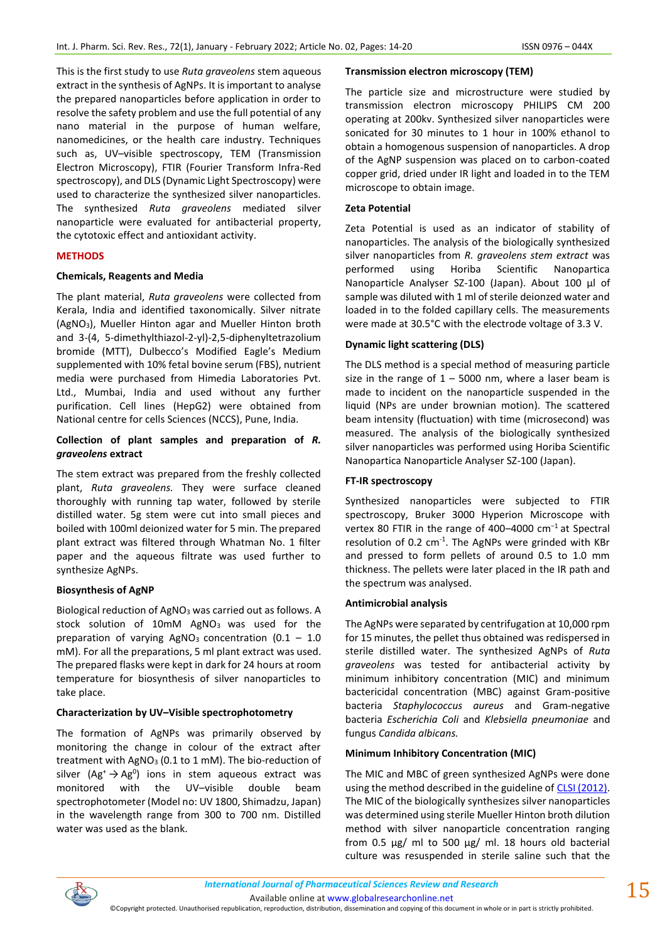This is the first study to use *Ruta graveolens* stem aqueous extract in the synthesis of AgNPs. It is important to analyse the prepared nanoparticles before application in order to resolve the safety problem and use the full potential of any nano material in the purpose of human welfare, nanomedicines, or the health care industry. Techniques such as, UV–visible spectroscopy, TEM (Transmission Electron Microscopy), FTIR (Fourier Transform Infra-Red spectroscopy), and DLS (Dynamic Light Spectroscopy) were used to characterize the synthesized silver nanoparticles. The synthesized *Ruta graveolens* mediated silver nanoparticle were evaluated for antibacterial property, the cytotoxic effect and antioxidant activity.

## **METHODS**

## **Chemicals, Reagents and Media**

The plant material, *Ruta graveolens* were collected from Kerala, India and identified taxonomically. Silver nitrate (AgNO3), Mueller Hinton agar and Mueller Hinton broth and 3-(4, 5-dimethylthiazol-2-yl)-2,5-diphenyltetrazolium bromide (MTT), Dulbecco's Modified Eagle's Medium supplemented with 10% fetal bovine serum (FBS), nutrient media were purchased from Himedia Laboratories Pvt. Ltd., Mumbai, India and used without any further purification. Cell lines (HepG2) were obtained from National centre for cells Sciences (NCCS), Pune, India.

## **Collection of plant samples and preparation of** *R. graveolens* **extract**

The stem extract was prepared from the freshly collected plant, *Ruta graveolens.* They were surface cleaned thoroughly with running tap water, followed by sterile distilled water. 5g stem were cut into small pieces and boiled with 100ml deionized water for 5 min. The prepared plant extract was filtered through Whatman No. 1 filter paper and the aqueous filtrate was used further to synthesize AgNPs.

## **Biosynthesis of AgNP**

Biological reduction of AgNO<sup>3</sup> was carried out as follows. A stock solution of 10mM AgNO<sub>3</sub> was used for the preparation of varying AgNO<sub>3</sub> concentration  $(0.1 - 1.0)$ mM). For all the preparations, 5 ml plant extract was used. The prepared flasks were kept in dark for 24 hours at room temperature for biosynthesis of silver nanoparticles to take place.

## **Characterization by UV–Visible spectrophotometry**

The formation of AgNPs was primarily observed by monitoring the change in colour of the extract after treatment with AgNO<sub>3</sub> (0.1 to 1 mM). The bio-reduction of silver  $(Ag^+ \rightarrow Ag^0)$  ions in stem aqueous extract was monitored with the UV–visible double beam spectrophotometer (Model no: UV 1800, Shimadzu, Japan) in the wavelength range from 300 to 700 nm. Distilled water was used as the blank.

#### **Transmission electron microscopy (TEM)**

The particle size and microstructure were studied by transmission electron microscopy PHILIPS CM 200 operating at 200kv. Synthesized silver nanoparticles were sonicated for 30 minutes to 1 hour in 100% ethanol to obtain a homogenous suspension of nanoparticles. A drop of the AgNP suspension was placed on to carbon-coated copper grid, dried under IR light and loaded in to the TEM microscope to obtain image.

#### **Zeta Potential**

Zeta Potential is used as an indicator of stability of nanoparticles. The analysis of the biologically synthesized silver nanoparticles from *R. graveolens stem extract* was performed using Horiba Scientific Nanopartica Nanoparticle Analyser SZ-100 (Japan). About 100 μl of sample was diluted with 1 ml of sterile deionzed water and loaded in to the folded capillary cells. The measurements were made at 30.5°C with the electrode voltage of 3.3 V.

## **Dynamic light scattering (DLS)**

The DLS method is a special method of measuring particle size in the range of  $1 - 5000$  nm, where a laser beam is made to incident on the nanoparticle suspended in the liquid (NPs are under brownian motion). The scattered beam intensity (fluctuation) with time (microsecond) was measured. The analysis of the biologically synthesized silver nanoparticles was performed using Horiba Scientific Nanopartica Nanoparticle Analyser SZ-100 (Japan).

#### **FT-IR spectroscopy**

Synthesized nanoparticles were subjected to FTIR spectroscopy, Bruker 3000 Hyperion Microscope with vertex 80 FTIR in the range of 400–4000 cm<sup>-1</sup> at Spectral resolution of 0.2  $cm^{-1}$ . The AgNPs were grinded with KBr and pressed to form pellets of around 0.5 to 1.0 mm thickness. The pellets were later placed in the IR path and the spectrum was analysed.

#### **Antimicrobial analysis**

The AgNPs were separated by centrifugation at 10,000 rpm for 15 minutes, the pellet thus obtained was redispersed in sterile distilled water. The synthesized AgNPs of *Ruta graveolens* was tested for antibacterial activity by minimum inhibitory concentration (MIC) and minimum bactericidal concentration (MBC) against Gram-positive bacteria *Staphylococcus aureus* and Gram-negative bacteria *Escherichia Coli* and *Klebsiella pneumoniae* and fungus *Candida albicans.* 

## **Minimum Inhibitory Concentration (MIC)**

The MIC and MBC of green synthesized AgNPs were done using the method described in the guideline of [CLSI \(2012\).](about:blank#B7) The MIC of the biologically synthesizes silver nanoparticles was determined using sterile Mueller Hinton broth dilution method with silver nanoparticle concentration ranging from 0.5 μg/ ml to 500 μg/ ml. 18 hours old bacterial culture was resuspended in sterile saline such that the



Available online a[t www.globalresearchonline.net](http://www.globalresearchonline.net/)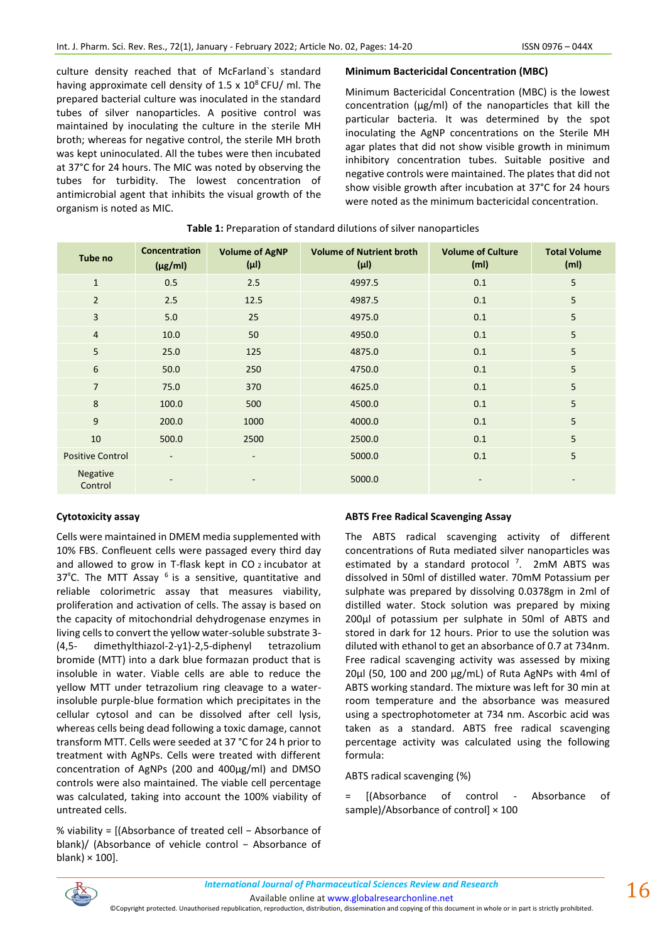culture density reached that of McFarland`s standard having approximate cell density of 1.5 x  $10^8$  CFU/ ml. The prepared bacterial culture was inoculated in the standard tubes of silver nanoparticles. A positive control was maintained by inoculating the culture in the sterile MH broth; whereas for negative control, the sterile MH broth was kept uninoculated. All the tubes were then incubated at 37°C for 24 hours. The MIC was noted by observing the tubes for turbidity. The lowest concentration of antimicrobial agent that inhibits the visual growth of the organism is noted as MIC.

#### **Minimum Bactericidal Concentration (MBC)**

Minimum Bactericidal Concentration (MBC) is the lowest concentration (μg/ml) of the nanoparticles that kill the particular bacteria. It was determined by the spot inoculating the AgNP concentrations on the Sterile MH agar plates that did not show visible growth in minimum inhibitory concentration tubes. Suitable positive and negative controls were maintained. The plates that did not show visible growth after incubation at 37°C for 24 hours were noted as the minimum bactericidal concentration.

| Tube no                 | <b>Concentration</b><br>$(\mu g/ml)$ | <b>Volume of AgNP</b><br>$(\mu I)$ | <b>Volume of Nutrient broth</b><br>$(\mu I)$ | <b>Volume of Culture</b><br>(m <sub>l</sub> ) | <b>Total Volume</b><br>(m <sub>l</sub> ) |
|-------------------------|--------------------------------------|------------------------------------|----------------------------------------------|-----------------------------------------------|------------------------------------------|
| $\mathbf{1}$            | 0.5                                  | 2.5                                | 4997.5                                       | 0.1                                           | 5                                        |
| $\overline{2}$          | 2.5                                  | 12.5                               | 4987.5                                       | 0.1                                           | 5                                        |
| 3                       | 5.0                                  | 25                                 | 4975.0                                       | 0.1                                           | 5                                        |
| $\overline{4}$          | 10.0                                 | 50                                 | 4950.0                                       | 0.1                                           | 5                                        |
| 5                       | 25.0                                 | 125                                | 4875.0                                       | 0.1                                           | 5                                        |
| 6                       | 50.0                                 | 250                                | 4750.0                                       | 0.1                                           | 5                                        |
| $\overline{7}$          | 75.0                                 | 370                                | 4625.0                                       | 0.1                                           | 5                                        |
| 8                       | 100.0                                | 500                                | 4500.0                                       | 0.1                                           | $5\phantom{.}$                           |
| 9                       | 200.0                                | 1000                               | 4000.0                                       | 0.1                                           | 5                                        |
| 10                      | 500.0                                | 2500                               | 2500.0                                       | 0.1                                           | 5                                        |
| <b>Positive Control</b> | $\overline{\phantom{a}}$             | $\overline{\phantom{a}}$           | 5000.0                                       | 0.1                                           | 5                                        |
| Negative<br>Control     |                                      |                                    | 5000.0                                       |                                               |                                          |

### **Table 1:** Preparation of standard dilutions of silver nanoparticles

## **Cytotoxicity assay**

Cells were maintained in DMEM media supplemented with 10% FBS. Confleuent cells were passaged every third day and allowed to grow in T-flask kept in CO  $_2$  incubator at  $37^{\circ}$ C. The MTT Assay  $^{6}$  is a sensitive, quantitative and reliable colorimetric assay that measures viability, proliferation and activation of cells. The assay is based on the capacity of mitochondrial dehydrogenase enzymes in living cells to convert the yellow water-soluble substrate 3- (4,5- dimethylthiazol-2-y1)-2,5-diphenyl tetrazolium bromide (MTT) into a dark blue formazan product that is insoluble in water. Viable cells are able to reduce the yellow MTT under tetrazolium ring cleavage to a waterinsoluble purple-blue formation which precipitates in the cellular cytosol and can be dissolved after cell lysis, whereas cells being dead following a toxic damage, cannot transform MTT. Cells were seeded at 37 °C for 24 h prior to treatment with AgNPs. Cells were treated with different concentration of AgNPs (200 and 400μg/ml) and DMSO controls were also maintained. The viable cell percentage was calculated, taking into account the 100% viability of untreated cells.

% viability = [(Absorbance of treated cell − Absorbance of blank)/ (Absorbance of vehicle control − Absorbance of blank)  $\times$  100].

#### **ABTS Free Radical Scavenging Assay**

The ABTS radical scavenging activity of different concentrations of Ruta mediated silver nanoparticles was estimated by a standard protocol<sup>7</sup>. 2mM ABTS was dissolved in 50ml of distilled water. 70mM Potassium per sulphate was prepared by dissolving 0.0378gm in 2ml of distilled water. Stock solution was prepared by mixing 200μl of potassium per sulphate in 50ml of ABTS and stored in dark for 12 hours. Prior to use the solution was diluted with ethanol to get an absorbance of 0.7 at 734nm. Free radical scavenging activity was assessed by mixing 20μl (50, 100 and 200 μg/mL) of Ruta AgNPs with 4ml of ABTS working standard. The mixture was left for 30 min at room temperature and the absorbance was measured using a spectrophotometer at 734 nm. Ascorbic acid was taken as a standard. ABTS free radical scavenging percentage activity was calculated using the following formula:

#### ABTS radical scavenging (%)

[(Absorbance of control - Absorbance of sample)/Absorbance of control] × 100



Available online a[t www.globalresearchonline.net](http://www.globalresearchonline.net/)

©Copyright protected. Unauthorised republication, reproduction, distribution, dissemination and copying of this document in whole or in part is strictly prohibited.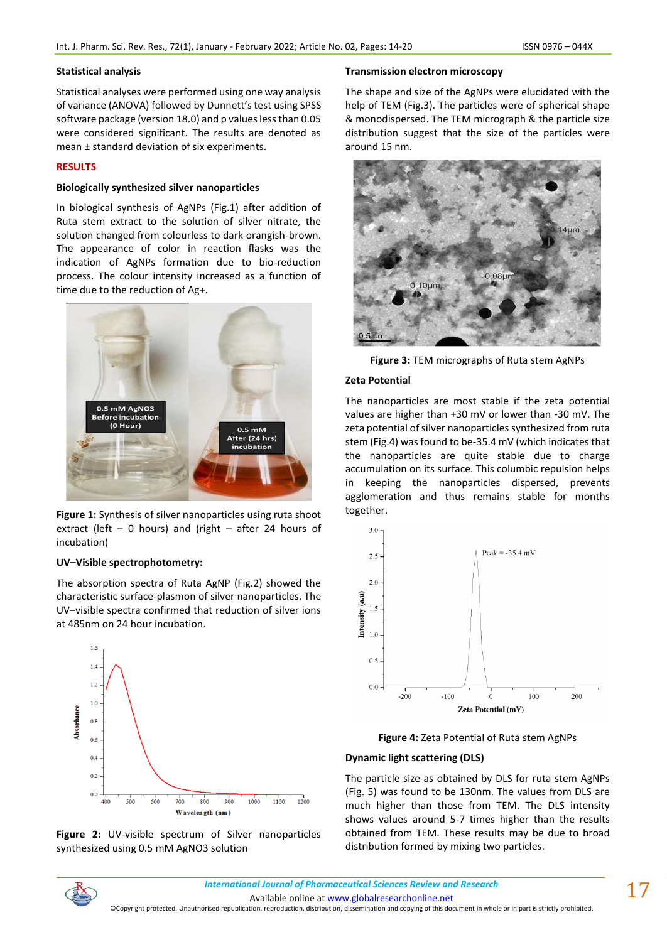#### **Statistical analysis**

Statistical analyses were performed using one way analysis of variance (ANOVA) followed by Dunnett's test using SPSS software package (version 18.0) and p values less than 0.05 were considered significant. The results are denoted as mean ± standard deviation of six experiments.

## **RESULTS**

## **Biologically synthesized silver nanoparticles**

In biological synthesis of AgNPs (Fig.1) after addition of Ruta stem extract to the solution of silver nitrate, the solution changed from colourless to dark orangish-brown. The appearance of color in reaction flasks was the indication of AgNPs formation due to bio-reduction process. The colour intensity increased as a function of time due to the reduction of Ag+.



**Figure 1:** Synthesis of silver nanoparticles using ruta shoot extract (left  $-$  0 hours) and (right  $-$  after 24 hours of incubation)

## **UV–Visible spectrophotometry:**

The absorption spectra of Ruta AgNP (Fig.2) showed the characteristic surface-plasmon of silver nanoparticles. The UV–visible spectra confirmed that reduction of silver ions at 485nm on 24 hour incubation.





### **Transmission electron microscopy**

The shape and size of the AgNPs were elucidated with the help of TEM (Fig.3). The particles were of spherical shape & monodispersed. The TEM micrograph & the particle size distribution suggest that the size of the particles were around 15 nm.



**Figure 3:** TEM micrographs of Ruta stem AgNPs

## **Zeta Potential**

The nanoparticles are most stable if the zeta potential values are higher than +30 mV or lower than -30 mV. The zeta potential of silver nanoparticles synthesized from ruta stem (Fig.4) was found to be-35.4 mV (which indicates that the nanoparticles are quite stable due to charge accumulation on its surface. This columbic repulsion helps keeping the nanoparticles dispersed, prevents agglomeration and thus remains stable for months together.



**Figure 4:** Zeta Potential of Ruta stem AgNPs

## **Dynamic light scattering (DLS)**

The particle size as obtained by DLS for ruta stem AgNPs (Fig. 5) was found to be 130nm. The values from DLS are much higher than those from TEM. The DLS intensity shows values around 5-7 times higher than the results obtained from TEM. These results may be due to broad distribution formed by mixing two particles.



Available online a[t www.globalresearchonline.net](http://www.globalresearchonline.net/)

©Copyright protected. Unauthorised republication, reproduction, distribution, dissemination and copying of this document in whole or in part is strictly prohibited.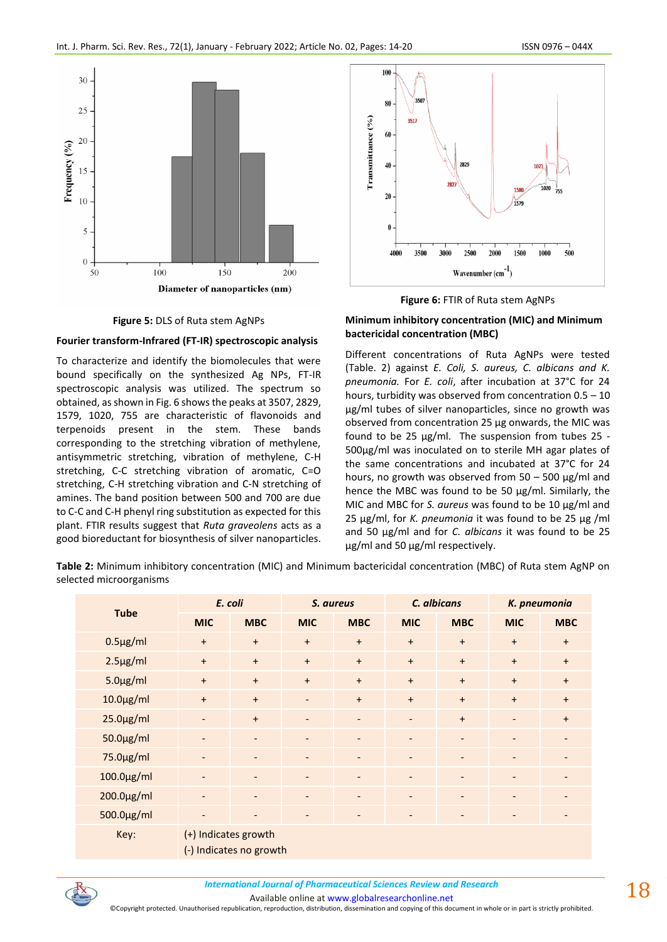

**Figure 5:** DLS of Ruta stem AgNPs

## **Fourier transform-Infrared (FT-IR) spectroscopic analysis**

To characterize and identify the biomolecules that were bound specifically on the synthesized Ag NPs, FT-IR spectroscopic analysis was utilized. The spectrum so obtained, as shown in Fig. 6 shows the peaks at 3507, 2829, 1579, 1020, 755 are characteristic of flavonoids and terpenoids present in the stem. These bands corresponding to the stretching vibration of methylene, antisymmetric stretching, vibration of methylene, C-H stretching, C-C stretching vibration of aromatic, C=O stretching, C-H stretching vibration and C-N stretching of amines. The band position between 500 and 700 are due to C-C and C-H phenyl ring substitution as expected for this plant. FTIR results suggest that *Ruta graveolens* acts as a good bioreductant for biosynthesis of silver nanoparticles.



**Figure 6:** FTIR of Ruta stem AgNPs

## **Minimum inhibitory concentration (MIC) and Minimum bactericidal concentration (MBC)**

Different concentrations of Ruta AgNPs were tested (Table. 2) against *E. Coli, S. aureus, C. albicans and K. pneumonia.* For *E. coli*, after incubation at 37°C for 24 hours, turbidity was observed from concentration 0.5 – 10 μg/ml tubes of silver nanoparticles, since no growth was observed from concentration 25 μg onwards, the MIC was found to be 25 μg/ml. The suspension from tubes 25 - 500μg/ml was inoculated on to sterile MH agar plates of the same concentrations and incubated at 37°C for 24 hours, no growth was observed from 50 – 500 μg/ml and hence the MBC was found to be 50 μg/ml. Similarly, the MIC and MBC for *S. aureus* was found to be 10 μg/ml and 25 μg/ml, for *K. pneumonia* it was found to be 25 μg /ml and 50 μg/ml and for *C. albicans* it was found to be 25 μg/ml and 50 μg/ml respectively.

**Table 2:** Minimum inhibitory concentration (MIC) and Minimum bactericidal concentration (MBC) of Ruta stem AgNP on selected microorganisms

|                 | E. coli                                         |                          | S. aureus                |                                  | C. albicans              |                          | K. pneumonia             |                              |
|-----------------|-------------------------------------------------|--------------------------|--------------------------|----------------------------------|--------------------------|--------------------------|--------------------------|------------------------------|
| <b>Tube</b>     | <b>MIC</b>                                      | <b>MBC</b>               | <b>MIC</b>               | <b>MBC</b>                       | <b>MIC</b>               | <b>MBC</b>               | <b>MIC</b>               | <b>MBC</b>                   |
| $0.5 \mu g/ml$  | $+$                                             | $\ddot{}$                | $+$                      | $+$                              | $+$                      | $\ddot{}$                | $+$                      | $+$                          |
| $2.5 \mu g/ml$  | $\ddot{}$                                       | $\ddot{}$                | $+$                      | $+$                              | $+$                      | $\ddot{}$                | $+$                      | $\ddot{}$                    |
| $5.0 \mu g/ml$  | $+$                                             | $+$                      | $+$                      | $+$                              | $+$                      | $\ddot{}$                | $+$                      | $+$                          |
| $10.0 \mu g/ml$ | $\ddot{}$                                       | $\ddot{}$                | $\overline{\phantom{a}}$ | $\begin{array}{c} + \end{array}$ | $+$                      | $+$                      | $+$                      | $+$                          |
| $25.0 \mu g/ml$ | $\overline{\phantom{a}}$                        | $+$                      | $\overline{\phantom{a}}$ | $\overline{\phantom{a}}$         | $\overline{\phantom{a}}$ | $\ddot{}$                | $\overline{\phantom{a}}$ | $+$                          |
| 50.0µg/ml       | $\overline{\phantom{a}}$                        | $\overline{\phantom{a}}$ | $\overline{\phantom{a}}$ | $\overline{\phantom{a}}$         | $\overline{\phantom{a}}$ | $\qquad \qquad -$        | $\overline{\phantom{a}}$ | $\qquad \qquad \blacksquare$ |
| 75.0µg/ml       | $\overline{\phantom{a}}$                        | $\overline{\phantom{a}}$ | $\overline{\phantom{a}}$ | $\overline{\phantom{a}}$         | $\overline{\phantom{a}}$ | $\overline{\phantom{a}}$ | $\overline{\phantom{a}}$ |                              |
| 100.0μg/ml      | $\overline{\phantom{a}}$                        | $\overline{\phantom{a}}$ | $\overline{\phantom{a}}$ | $\overline{\phantom{a}}$         | $\overline{\phantom{a}}$ | $\overline{\phantom{0}}$ | $\overline{\phantom{a}}$ | $\overline{\phantom{0}}$     |
| 200.0µg/ml      | $\overline{\phantom{a}}$                        | $\overline{\phantom{a}}$ | $\overline{\phantom{a}}$ | $\overline{\phantom{a}}$         | $\overline{\phantom{a}}$ | $\qquad \qquad -$        | $\overline{\phantom{a}}$ |                              |
| 500.0µg/ml      | $\overline{\phantom{a}}$                        | $\overline{\phantom{a}}$ |                          |                                  | $\overline{\phantom{a}}$ | -                        | $\overline{\phantom{0}}$ |                              |
| Key:            | (+) Indicates growth<br>(-) Indicates no growth |                          |                          |                                  |                          |                          |                          |                              |



*International Journal of Pharmaceutical Sciences Review and Research International Journal of Pharmaceutical Sciences Review and Research*

Available online a[t www.globalresearchonline.net](http://www.globalresearchonline.net/)

©Copyright protected. Unauthorised republication, reproduction, distribution, dissemination and copying of this document in whole or in part is strictly prohibited.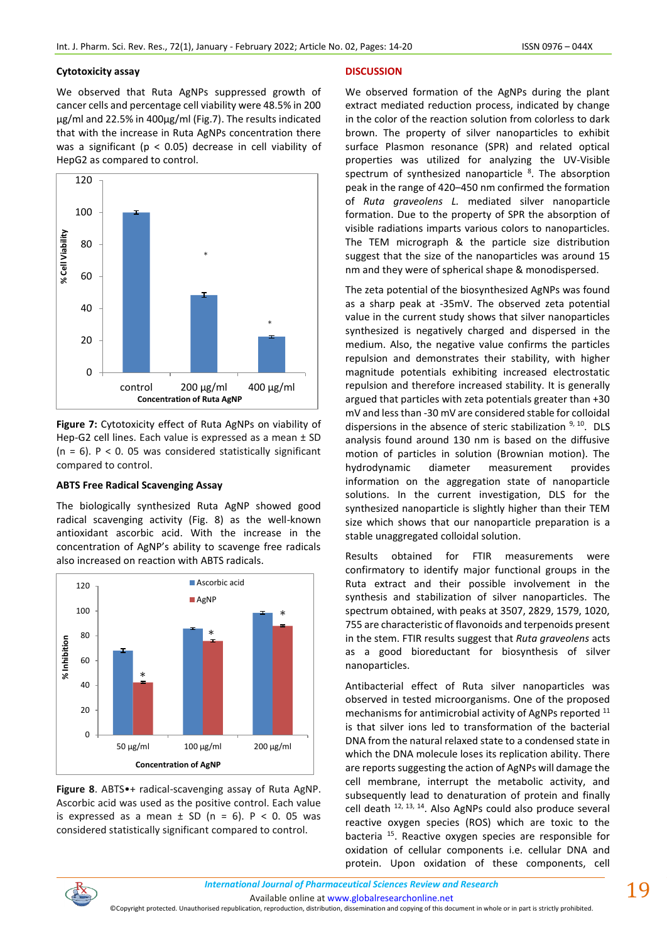#### **Cytotoxicity assay**

We observed that Ruta AgNPs suppressed growth of cancer cells and percentage cell viability were 48.5% in 200 µg/ml and 22.5% in 400µg/ml (Fig.7). The results indicated that with the increase in Ruta AgNPs concentration there was a significant ( $p < 0.05$ ) decrease in cell viability of HepG2 as compared to control.



**Figure 7:** Cytotoxicity effect of Ruta AgNPs on viability of Hep-G2 cell lines. Each value is expressed as a mean ± SD  $(n = 6)$ . P < 0. 05 was considered statistically significant compared to control.

#### **ABTS Free Radical Scavenging Assay**

The biologically synthesized Ruta AgNP showed good radical scavenging activity (Fig. 8) as the well-known antioxidant ascorbic acid. With the increase in the concentration of AgNP's ability to scavenge free radicals also increased on reaction with ABTS radicals.



**Figure 8**. ABTS•+ radical-scavenging assay of Ruta AgNP. Ascorbic acid was used as the positive control. Each value is expressed as a mean  $\pm$  SD (n = 6). P < 0. 05 was considered statistically significant compared to control.

#### **DISCUSSION**

We observed formation of the AgNPs during the plant extract mediated reduction process, indicated by change in the color of the reaction solution from colorless to dark brown. The property of silver nanoparticles to exhibit surface Plasmon resonance (SPR) and related optical properties was utilized for analyzing the UV-Visible spectrum of synthesized nanoparticle <sup>8</sup>. The absorption peak in the range of 420–450 nm confirmed the formation of *Ruta graveolens L.* mediated silver nanoparticle formation. Due to the property of SPR the absorption of visible radiations imparts various colors to nanoparticles. The TEM micrograph & the particle size distribution suggest that the size of the nanoparticles was around 15 nm and they were of spherical shape & monodispersed.

The zeta potential of the biosynthesized AgNPs was found as a sharp peak at -35mV. The observed zeta potential value in the current study shows that silver nanoparticles synthesized is negatively charged and dispersed in the medium. Also, the negative value confirms the particles repulsion and demonstrates their stability, with higher magnitude potentials exhibiting increased electrostatic repulsion and therefore increased stability. It is generally argued that particles with zeta potentials greater than +30 mV and less than -30 mV are considered stable for colloidal dispersions in the absence of steric stabilization  $9, 10$ . DLS analysis found around 130 nm is based on the diffusive motion of particles in solution (Brownian motion). The hydrodynamic diameter measurement provides information on the aggregation state of nanoparticle solutions. In the current investigation, DLS for the synthesized nanoparticle is slightly higher than their TEM size which shows that our nanoparticle preparation is a stable unaggregated colloidal solution.

Results obtained for FTIR measurements were confirmatory to identify major functional groups in the Ruta extract and their possible involvement in the synthesis and stabilization of silver nanoparticles. The spectrum obtained, with peaks at 3507, 2829, 1579, 1020, 755 are characteristic of flavonoids and terpenoids present in the stem. FTIR results suggest that *Ruta graveolens* acts as a good bioreductant for biosynthesis of silver nanoparticles.

Antibacterial effect of Ruta silver nanoparticles was observed in tested microorganisms. One of the proposed mechanisms for antimicrobial activity of AgNPs reported <sup>11</sup> is that silver ions led to transformation of the bacterial DNA from the natural relaxed state to a condensed state in which the DNA molecule loses its replication ability. There are reports suggesting the action of AgNPs will damage the cell membrane, interrupt the metabolic activity, and subsequently lead to denaturation of protein and finally cell death <sup>12, 13, 14</sup>. Also AgNPs could also produce several reactive oxygen species (ROS) which are toxic to the bacteria <sup>15</sup>. Reactive oxygen species are responsible for oxidation of cellular components i.e. cellular DNA and protein. Upon oxidation of these components, cell



Available online a[t www.globalresearchonline.net](http://www.globalresearchonline.net/) ©Copyright protected. Unauthorised republication, reproduction, distribution, dissemination and copying of this document in whole or in part is strictly prohibited.